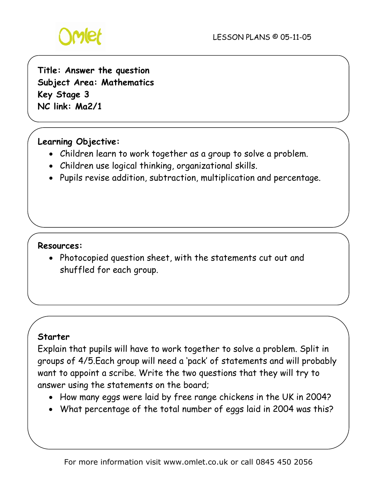

**Title: Answer the question Subject Area: Mathematics Key Stage 3 NC link: Ma2/1** 

#### **Learning Objective:**

- Children learn to work together as a group to solve a problem.
- Children use logical thinking, organizational skills.
- Pupils revise addition, subtraction, multiplication and percentage.

#### **Resources:**

• Photocopied question sheet, with the statements cut out and shuffled for each group.

#### **Starter**

Explain that pupils will have to work together to solve a problem. Split in groups of 4/5.Each group will need a 'pack' of statements and will probably want to appoint a scribe. Write the two questions that they will try to answer using the statements on the board;

- How many eggs were laid by free range chickens in the UK in 2004?
- What percentage of the total number of eggs laid in 2004 was this?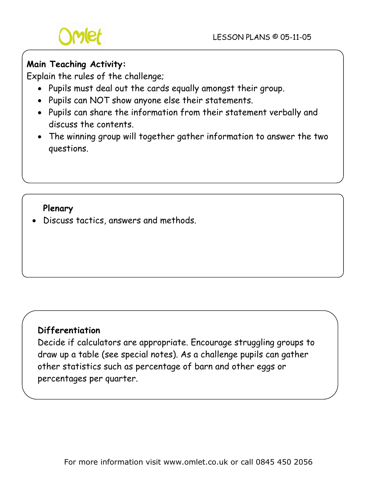

## **Main Teaching Activity:**

Explain the rules of the challenge;

- Pupils must deal out the cards equally amongst their group.
- Pupils can NOT show anyone else their statements.
- Pupils can share the information from their statement verbally and discuss the contents.
- The winning group will together gather information to answer the two questions.

## **Plenary**

• Discuss tactics, answers and methods.

## **Differentiation**

Decide if calculators are appropriate. Encourage struggling groups to draw up a table (see special notes). As a challenge pupils can gather other statistics such as percentage of barn and other eggs or percentages per quarter.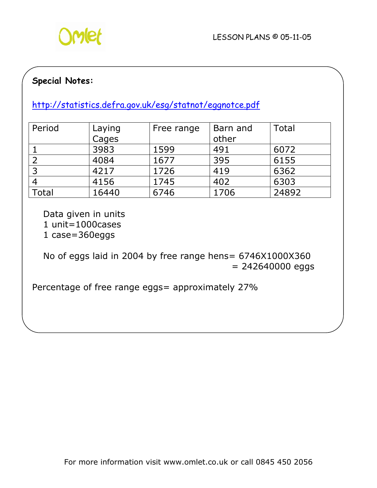

## **Special Notes:**

# http://statistics.defra.gov.uk/esg/statnot/eggnotce.pdf

| Period       | Laying<br>Cages | Free range | Barn and<br>other | Total |
|--------------|-----------------|------------|-------------------|-------|
|              | 3983            | 1599       | 491               | 6072  |
|              | 4084            | 1677       | 395               | 6155  |
|              | 4217            | 1726       | 419               | 6362  |
|              | 4156            | 1745       | 402               | 6303  |
| <b>Total</b> | 16440           | 6746       | 1706              | 24892 |

Data given in units

- 1 unit=1000cases
- 1 case=360eggs

No of eggs laid in 2004 by free range hens= 6746X1000X360  $= 242640000$  eggs

Percentage of free range eggs= approximately 27%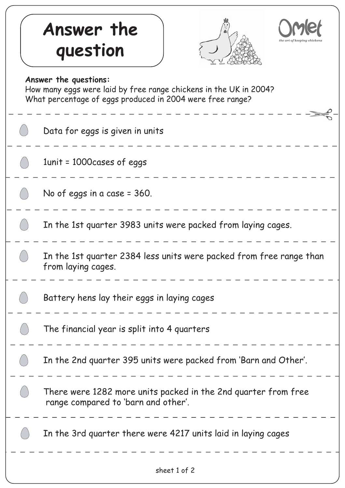| Answer the<br>the art of keepina chicken<br>question                                                                                                    |  |  |  |  |
|---------------------------------------------------------------------------------------------------------------------------------------------------------|--|--|--|--|
| Answer the questions:<br>How many eggs were laid by free range chickens in the UK in 2004?<br>What percentage of eggs produced in 2004 were free range? |  |  |  |  |
| Data for eggs is given in units                                                                                                                         |  |  |  |  |
| $1$ unit = 1000 cases of eggs                                                                                                                           |  |  |  |  |
| No of eggs in a case $=$ 360.                                                                                                                           |  |  |  |  |
| In the 1st quarter 3983 units were packed from laying cages.                                                                                            |  |  |  |  |
| In the 1st quarter 2384 less units were packed from free range than<br>from laying cages.                                                               |  |  |  |  |
| Battery hens lay their eggs in laying cages                                                                                                             |  |  |  |  |
| The financial year is split into 4 quarters                                                                                                             |  |  |  |  |
| In the 2nd quarter 395 units were packed from 'Barn and Other'.                                                                                         |  |  |  |  |
| There were 1282 more units packed in the 2nd quarter from free<br>range compared to 'barn and other'.                                                   |  |  |  |  |
| In the 3rd quarter there were 4217 units laid in laying cages                                                                                           |  |  |  |  |
| sheet 1 of 2                                                                                                                                            |  |  |  |  |